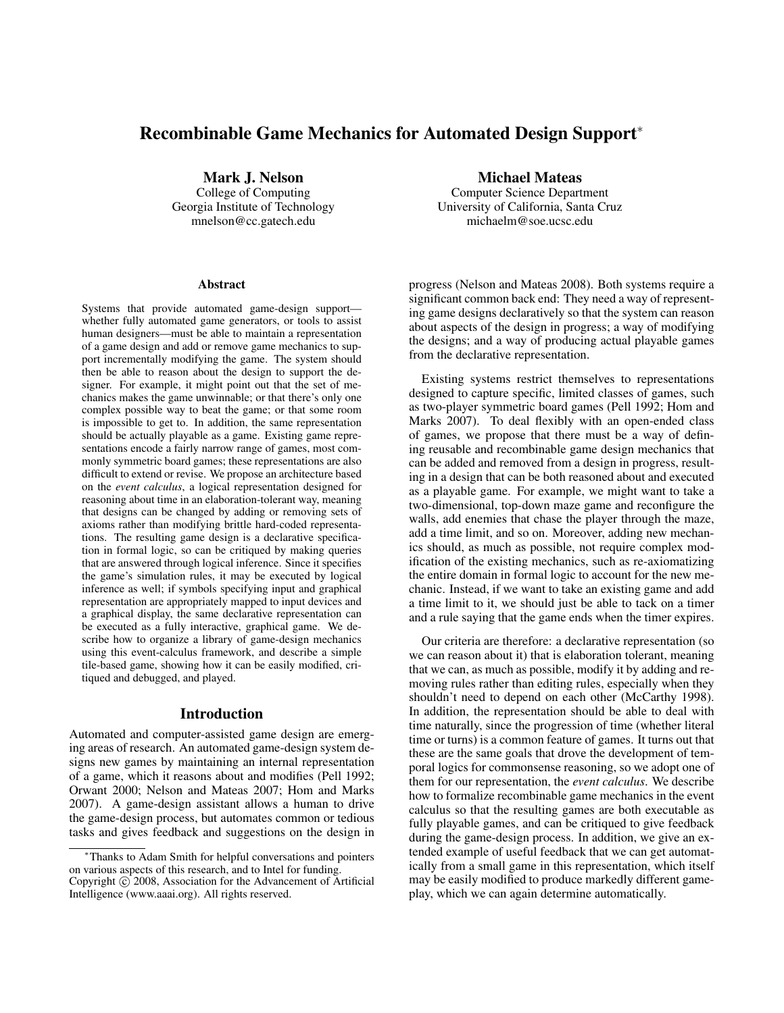# **Recombinable Game Mechanics for Automated Design Support**<sup>∗</sup>

**Mark J. Nelson**

College of Computing Georgia Institute of Technology mnelson@cc.gatech.edu

#### **Abstract**

Systems that provide automated game-design support whether fully automated game generators, or tools to assist human designers—must be able to maintain a representation of a game design and add or remove game mechanics to support incrementally modifying the game. The system should then be able to reason about the design to support the designer. For example, it might point out that the set of mechanics makes the game unwinnable; or that there's only one complex possible way to beat the game; or that some room is impossible to get to. In addition, the same representation should be actually playable as a game. Existing game representations encode a fairly narrow range of games, most commonly symmetric board games; these representations are also difficult to extend or revise. We propose an architecture based on the *event calculus*, a logical representation designed for reasoning about time in an elaboration-tolerant way, meaning that designs can be changed by adding or removing sets of axioms rather than modifying brittle hard-coded representations. The resulting game design is a declarative specification in formal logic, so can be critiqued by making queries that are answered through logical inference. Since it specifies the game's simulation rules, it may be executed by logical inference as well; if symbols specifying input and graphical representation are appropriately mapped to input devices and a graphical display, the same declarative representation can be executed as a fully interactive, graphical game. We describe how to organize a library of game-design mechanics using this event-calculus framework, and describe a simple tile-based game, showing how it can be easily modified, critiqued and debugged, and played.

#### **Introduction**

Automated and computer-assisted game design are emerging areas of research. An automated game-design system designs new games by maintaining an internal representation of a game, which it reasons about and modifies (Pell 1992; Orwant 2000; Nelson and Mateas 2007; Hom and Marks 2007). A game-design assistant allows a human to drive the game-design process, but automates common or tedious tasks and gives feedback and suggestions on the design in **Michael Mateas**

Computer Science Department University of California, Santa Cruz michaelm@soe.ucsc.edu

progress (Nelson and Mateas 2008). Both systems require a significant common back end: They need a way of representing game designs declaratively so that the system can reason about aspects of the design in progress; a way of modifying the designs; and a way of producing actual playable games from the declarative representation.

Existing systems restrict themselves to representations designed to capture specific, limited classes of games, such as two-player symmetric board games (Pell 1992; Hom and Marks 2007). To deal flexibly with an open-ended class of games, we propose that there must be a way of defining reusable and recombinable game design mechanics that can be added and removed from a design in progress, resulting in a design that can be both reasoned about and executed as a playable game. For example, we might want to take a two-dimensional, top-down maze game and reconfigure the walls, add enemies that chase the player through the maze, add a time limit, and so on. Moreover, adding new mechanics should, as much as possible, not require complex modification of the existing mechanics, such as re-axiomatizing the entire domain in formal logic to account for the new mechanic. Instead, if we want to take an existing game and add a time limit to it, we should just be able to tack on a timer and a rule saying that the game ends when the timer expires.

Our criteria are therefore: a declarative representation (so we can reason about it) that is elaboration tolerant, meaning that we can, as much as possible, modify it by adding and removing rules rather than editing rules, especially when they shouldn't need to depend on each other (McCarthy 1998). In addition, the representation should be able to deal with time naturally, since the progression of time (whether literal time or turns) is a common feature of games. It turns out that these are the same goals that drove the development of temporal logics for commonsense reasoning, so we adopt one of them for our representation, the *event calculus*. We describe how to formalize recombinable game mechanics in the event calculus so that the resulting games are both executable as fully playable games, and can be critiqued to give feedback during the game-design process. In addition, we give an extended example of useful feedback that we can get automatically from a small game in this representation, which itself may be easily modified to produce markedly different gameplay, which we can again determine automatically.

<sup>∗</sup>Thanks to Adam Smith for helpful conversations and pointers on various aspects of this research, and to Intel for funding. Copyright (c) 2008, Association for the Advancement of Artificial Intelligence (www.aaai.org). All rights reserved.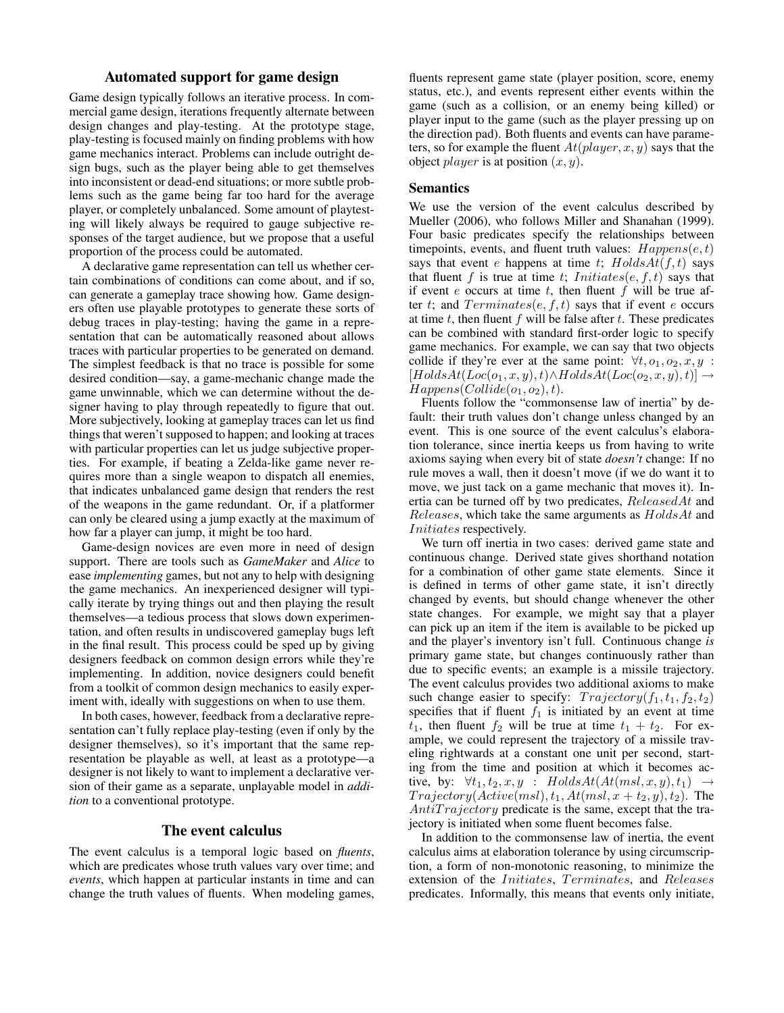# **Automated support for game design**

Game design typically follows an iterative process. In commercial game design, iterations frequently alternate between design changes and play-testing. At the prototype stage, play-testing is focused mainly on finding problems with how game mechanics interact. Problems can include outright design bugs, such as the player being able to get themselves into inconsistent or dead-end situations; or more subtle problems such as the game being far too hard for the average player, or completely unbalanced. Some amount of playtesting will likely always be required to gauge subjective responses of the target audience, but we propose that a useful proportion of the process could be automated.

A declarative game representation can tell us whether certain combinations of conditions can come about, and if so, can generate a gameplay trace showing how. Game designers often use playable prototypes to generate these sorts of debug traces in play-testing; having the game in a representation that can be automatically reasoned about allows traces with particular properties to be generated on demand. The simplest feedback is that no trace is possible for some desired condition—say, a game-mechanic change made the game unwinnable, which we can determine without the designer having to play through repeatedly to figure that out. More subjectively, looking at gameplay traces can let us find things that weren't supposed to happen; and looking at traces with particular properties can let us judge subjective properties. For example, if beating a Zelda-like game never requires more than a single weapon to dispatch all enemies, that indicates unbalanced game design that renders the rest of the weapons in the game redundant. Or, if a platformer can only be cleared using a jump exactly at the maximum of how far a player can jump, it might be too hard.

Game-design novices are even more in need of design support. There are tools such as *GameMaker* and *Alice* to ease *implementing* games, but not any to help with designing the game mechanics. An inexperienced designer will typically iterate by trying things out and then playing the result themselves—a tedious process that slows down experimentation, and often results in undiscovered gameplay bugs left in the final result. This process could be sped up by giving designers feedback on common design errors while they're implementing. In addition, novice designers could benefit from a toolkit of common design mechanics to easily experiment with, ideally with suggestions on when to use them.

In both cases, however, feedback from a declarative representation can't fully replace play-testing (even if only by the designer themselves), so it's important that the same representation be playable as well, at least as a prototype—a designer is not likely to want to implement a declarative version of their game as a separate, unplayable model in *addition* to a conventional prototype.

## **The event calculus**

The event calculus is a temporal logic based on *fluents*, which are predicates whose truth values vary over time; and *events*, which happen at particular instants in time and can change the truth values of fluents. When modeling games,

fluents represent game state (player position, score, enemy status, etc.), and events represent either events within the game (such as a collision, or an enemy being killed) or player input to the game (such as the player pressing up on the direction pad). Both fluents and events can have parameters, so for example the fluent  $At(\text{player}, x, y)$  says that the object *player* is at position  $(x, y)$ .

#### **Semantics**

We use the version of the event calculus described by Mueller (2006), who follows Miller and Shanahan (1999). Four basic predicates specify the relationships between timepoints, events, and fluent truth values:  $Happens(e,t)$ says that event e happens at time t;  $HoldsAt(f, t)$  says that fluent f is true at time t;  $Initiates(e, f, t)$  says that if event  $e$  occurs at time  $t$ , then fluent  $f$  will be true after t; and  $Terminates(e, f, t)$  says that if event e occurs at time  $t$ , then fluent  $f$  will be false after  $t$ . These predicates can be combined with standard first-order logic to specify game mechanics. For example, we can say that two objects collide if they're ever at the same point:  $\forall t, o_1, o_2, x, y$ :  $[HoldsAt(Loc(o_1, x, y), t) \wedge HoldsAt(Loc(o_2, x, y), t)] \rightarrow$  $Happens(Colide(o<sub>1</sub>, o<sub>2</sub>), t).$ 

Fluents follow the "commonsense law of inertia" by default: their truth values don't change unless changed by an event. This is one source of the event calculus's elaboration tolerance, since inertia keeps us from having to write axioms saying when every bit of state *doesn't* change: If no rule moves a wall, then it doesn't move (if we do want it to move, we just tack on a game mechanic that moves it). Inertia can be turned off by two predicates, ReleasedAt and Releases, which take the same arguments as HoldsAt and Initiates respectively.

We turn off inertia in two cases: derived game state and continuous change. Derived state gives shorthand notation for a combination of other game state elements. Since it is defined in terms of other game state, it isn't directly changed by events, but should change whenever the other state changes. For example, we might say that a player can pick up an item if the item is available to be picked up and the player's inventory isn't full. Continuous change *is* primary game state, but changes continuously rather than due to specific events; an example is a missile trajectory. The event calculus provides two additional axioms to make such change easier to specify:  $Trajectory(f_1, t_1, f_2, t_2)$ specifies that if fluent  $f_1$  is initiated by an event at time  $t_1$ , then fluent  $f_2$  will be true at time  $t_1 + t_2$ . For example, we could represent the trajectory of a missile traveling rightwards at a constant one unit per second, starting from the time and position at which it becomes active, by:  $\forall t_1, t_2, x, y$  :  $HoldsAt(At(msl, x, y), t_1) \rightarrow$  $Trajectory(Active(msl),t_1,At(msl,x+t_2,y),t_2)$ . The  $AntiTrajectory$  predicate is the same, except that the trajectory is initiated when some fluent becomes false.

In addition to the commonsense law of inertia, the event calculus aims at elaboration tolerance by using circumscription, a form of non-monotonic reasoning, to minimize the extension of the Initiates, Terminates, and Releases predicates. Informally, this means that events only initiate,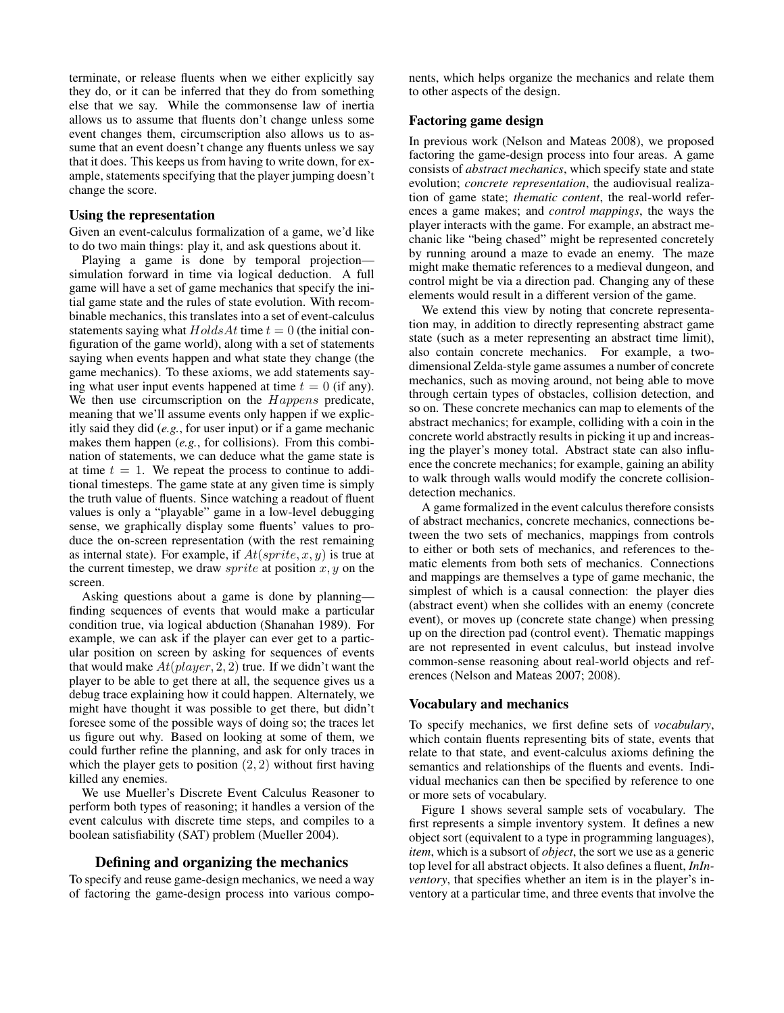terminate, or release fluents when we either explicitly say they do, or it can be inferred that they do from something else that we say. While the commonsense law of inertia allows us to assume that fluents don't change unless some event changes them, circumscription also allows us to assume that an event doesn't change any fluents unless we say that it does. This keeps us from having to write down, for example, statements specifying that the player jumping doesn't change the score.

#### **Using the representation**

Given an event-calculus formalization of a game, we'd like to do two main things: play it, and ask questions about it.

Playing a game is done by temporal projection simulation forward in time via logical deduction. A full game will have a set of game mechanics that specify the initial game state and the rules of state evolution. With recombinable mechanics, this translates into a set of event-calculus statements saying what  $HoldsAt$  time  $t = 0$  (the initial configuration of the game world), along with a set of statements saying when events happen and what state they change (the game mechanics). To these axioms, we add statements saying what user input events happened at time  $t = 0$  (if any). We then use circumscription on the Happens predicate, meaning that we'll assume events only happen if we explicitly said they did (*e.g.*, for user input) or if a game mechanic makes them happen (*e.g.*, for collisions). From this combination of statements, we can deduce what the game state is at time  $t = 1$ . We repeat the process to continue to additional timesteps. The game state at any given time is simply the truth value of fluents. Since watching a readout of fluent values is only a "playable" game in a low-level debugging sense, we graphically display some fluents' values to produce the on-screen representation (with the rest remaining as internal state). For example, if  $At(sprite, x, y)$  is true at the current timestep, we draw *sprite* at position  $x, y$  on the screen.

Asking questions about a game is done by planning finding sequences of events that would make a particular condition true, via logical abduction (Shanahan 1989). For example, we can ask if the player can ever get to a particular position on screen by asking for sequences of events that would make  $At(player, 2, 2)$  true. If we didn't want the player to be able to get there at all, the sequence gives us a debug trace explaining how it could happen. Alternately, we might have thought it was possible to get there, but didn't foresee some of the possible ways of doing so; the traces let us figure out why. Based on looking at some of them, we could further refine the planning, and ask for only traces in which the player gets to position  $(2, 2)$  without first having killed any enemies.

We use Mueller's Discrete Event Calculus Reasoner to perform both types of reasoning; it handles a version of the event calculus with discrete time steps, and compiles to a boolean satisfiability (SAT) problem (Mueller 2004).

## **Defining and organizing the mechanics**

To specify and reuse game-design mechanics, we need a way of factoring the game-design process into various components, which helps organize the mechanics and relate them to other aspects of the design.

# **Factoring game design**

In previous work (Nelson and Mateas 2008), we proposed factoring the game-design process into four areas. A game consists of *abstract mechanics*, which specify state and state evolution; *concrete representation*, the audiovisual realization of game state; *thematic content*, the real-world references a game makes; and *control mappings*, the ways the player interacts with the game. For example, an abstract mechanic like "being chased" might be represented concretely by running around a maze to evade an enemy. The maze might make thematic references to a medieval dungeon, and control might be via a direction pad. Changing any of these elements would result in a different version of the game.

We extend this view by noting that concrete representation may, in addition to directly representing abstract game state (such as a meter representing an abstract time limit), also contain concrete mechanics. For example, a twodimensional Zelda-style game assumes a number of concrete mechanics, such as moving around, not being able to move through certain types of obstacles, collision detection, and so on. These concrete mechanics can map to elements of the abstract mechanics; for example, colliding with a coin in the concrete world abstractly results in picking it up and increasing the player's money total. Abstract state can also influence the concrete mechanics; for example, gaining an ability to walk through walls would modify the concrete collisiondetection mechanics.

A game formalized in the event calculus therefore consists of abstract mechanics, concrete mechanics, connections between the two sets of mechanics, mappings from controls to either or both sets of mechanics, and references to thematic elements from both sets of mechanics. Connections and mappings are themselves a type of game mechanic, the simplest of which is a causal connection: the player dies (abstract event) when she collides with an enemy (concrete event), or moves up (concrete state change) when pressing up on the direction pad (control event). Thematic mappings are not represented in event calculus, but instead involve common-sense reasoning about real-world objects and references (Nelson and Mateas 2007; 2008).

#### **Vocabulary and mechanics**

To specify mechanics, we first define sets of *vocabulary*, which contain fluents representing bits of state, events that relate to that state, and event-calculus axioms defining the semantics and relationships of the fluents and events. Individual mechanics can then be specified by reference to one or more sets of vocabulary.

Figure 1 shows several sample sets of vocabulary. The first represents a simple inventory system. It defines a new object sort (equivalent to a type in programming languages), *item*, which is a subsort of *object*, the sort we use as a generic top level for all abstract objects. It also defines a fluent, *InInventory*, that specifies whether an item is in the player's inventory at a particular time, and three events that involve the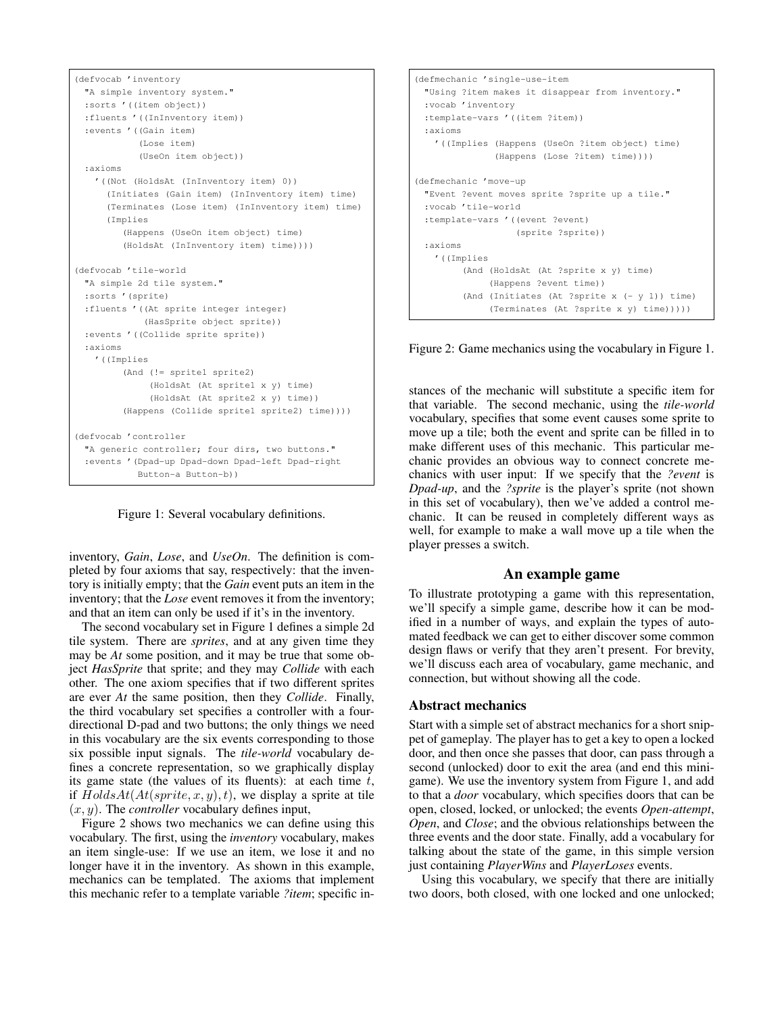```
(defvocab 'inventory
 "A simple inventory system."
 :sorts '((item object))
 :fluents '((InInventory item))
 :events '((Gain item)
           (Lose item)
           (UseOn item object))
 :axioms
   '((Not (HoldsAt (InInventory item) 0))
     (Initiates (Gain item) (InInventory item) time)
     (Terminates (Lose item) (InInventory item) time)
     (Implies
        (Happens (UseOn item object) time)
         (HoldsAt (InInventory item) time))))
(defvocab 'tile-world
 "A simple 2d tile system."
  :sorts '(sprite)
 :fluents '((At sprite integer integer)
            (HasSprite object sprite))
 :events '((Collide sprite sprite))
 :axioms
   '((Implies
        (And (!= sprite1 sprite2)
             (HoldsAt (At sprite1 x y) time)
              (HoldsAt (At sprite2 x y) time))
         (Happens (Collide sprite1 sprite2) time))))
(defvocab 'controller
 "A generic controller; four dirs, two buttons."
 :events '(Dpad-up Dpad-down Dpad-left Dpad-right
           Button-a Button-b))
```
Figure 1: Several vocabulary definitions.

inventory, *Gain*, *Lose*, and *UseOn*. The definition is completed by four axioms that say, respectively: that the inventory is initially empty; that the *Gain* event puts an item in the inventory; that the *Lose* event removes it from the inventory; and that an item can only be used if it's in the inventory.

The second vocabulary set in Figure 1 defines a simple 2d tile system. There are *sprites*, and at any given time they may be *At* some position, and it may be true that some object *HasSprite* that sprite; and they may *Collide* with each other. The one axiom specifies that if two different sprites are ever *At* the same position, then they *Collide*. Finally, the third vocabulary set specifies a controller with a fourdirectional D-pad and two buttons; the only things we need in this vocabulary are the six events corresponding to those six possible input signals. The *tile-world* vocabulary defines a concrete representation, so we graphically display its game state (the values of its fluents): at each time  $t$ , if  $HoldsAt(At(sprite, x, y), t)$ , we display a sprite at tile  $(x, y)$ . The *controller* vocabulary defines input,

Figure 2 shows two mechanics we can define using this vocabulary. The first, using the *inventory* vocabulary, makes an item single-use: If we use an item, we lose it and no longer have it in the inventory. As shown in this example, mechanics can be templated. The axioms that implement this mechanic refer to a template variable *?item*; specific in-

```
(defmechanic 'single-use-item
 "Using ?item makes it disappear from inventory."
 :vocab 'inventory
 :template-vars '((item ?item))
 :axioms
   '((Implies (Happens (UseOn ?item object) time)
              (Happens (Lose ?item) time))))
(defmechanic 'move-up
 "Event ?event moves sprite ?sprite up a tile."
 :vocab 'tile-world
 :template-vars '((event ?event)
                  (sprite ?sprite))
 :axioms
   '((Implies
        (And (HoldsAt (At ?sprite x y) time)
             (Happens ?event time))
         (And (Initiates (At ?sprite x (- y 1)) time)
            (Terminates (At ?sprite x y) time)))))
```
Figure 2: Game mechanics using the vocabulary in Figure 1.

stances of the mechanic will substitute a specific item for that variable. The second mechanic, using the *tile-world* vocabulary, specifies that some event causes some sprite to move up a tile; both the event and sprite can be filled in to make different uses of this mechanic. This particular mechanic provides an obvious way to connect concrete mechanics with user input: If we specify that the *?event* is *Dpad-up*, and the *?sprite* is the player's sprite (not shown in this set of vocabulary), then we've added a control mechanic. It can be reused in completely different ways as well, for example to make a wall move up a tile when the player presses a switch.

## **An example game**

To illustrate prototyping a game with this representation, we'll specify a simple game, describe how it can be modified in a number of ways, and explain the types of automated feedback we can get to either discover some common design flaws or verify that they aren't present. For brevity, we'll discuss each area of vocabulary, game mechanic, and connection, but without showing all the code.

### **Abstract mechanics**

Start with a simple set of abstract mechanics for a short snippet of gameplay. The player has to get a key to open a locked door, and then once she passes that door, can pass through a second (unlocked) door to exit the area (and end this minigame). We use the inventory system from Figure 1, and add to that a *door* vocabulary, which specifies doors that can be open, closed, locked, or unlocked; the events *Open-attempt*, *Open*, and *Close*; and the obvious relationships between the three events and the door state. Finally, add a vocabulary for talking about the state of the game, in this simple version just containing *PlayerWins* and *PlayerLoses* events.

Using this vocabulary, we specify that there are initially two doors, both closed, with one locked and one unlocked;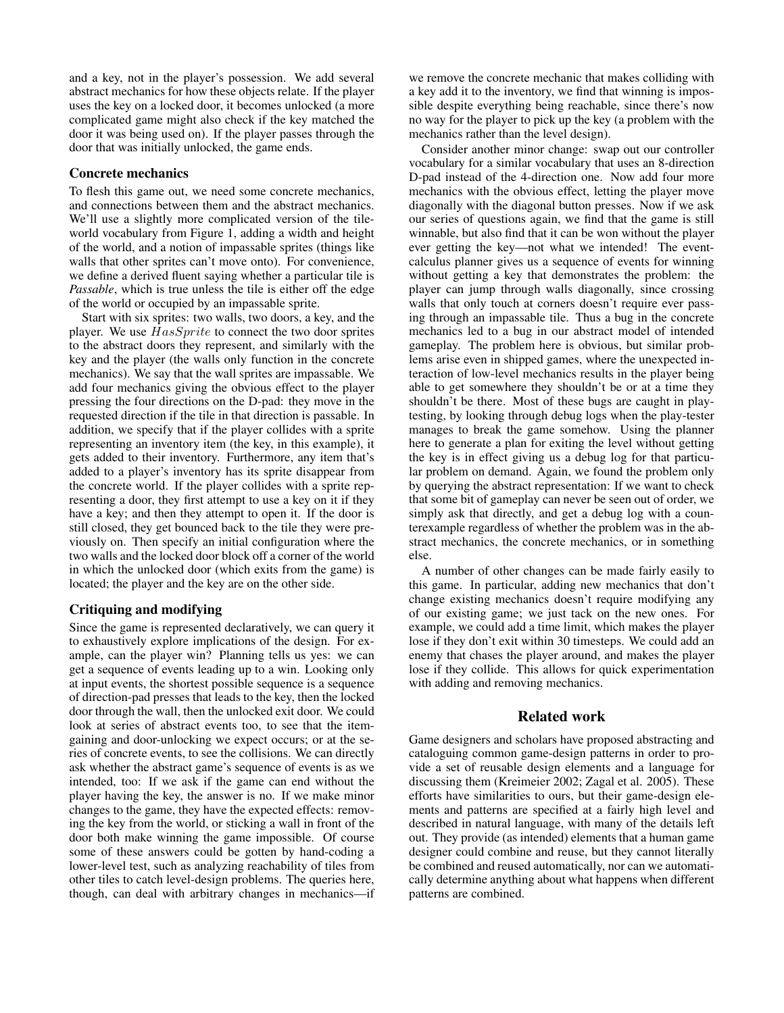and a key, not in the player's possession. We add several abstract mechanics for how these objects relate. If the player uses the key on a locked door, it becomes unlocked (a more complicated game might also check if the key matched the door it was being used on). If the player passes through the door that was initially unlocked, the game ends.

#### **Concrete mechanics**

To flesh this game out, we need some concrete mechanics, and connections between them and the abstract mechanics. We'll use a slightly more complicated version of the tileworld vocabulary from Figure 1, adding a width and height of the world, and a notion of impassable sprites (things like walls that other sprites can't move onto). For convenience, we define a derived fluent saying whether a particular tile is *Passable*, which is true unless the tile is either off the edge of the world or occupied by an impassable sprite.

Start with six sprites: two walls, two doors, a key, and the player. We use  $HasSprite$  to connect the two door sprites to the abstract doors they represent, and similarly with the key and the player (the walls only function in the concrete mechanics). We say that the wall sprites are impassable. We add four mechanics giving the obvious effect to the player pressing the four directions on the D-pad: they move in the requested direction if the tile in that direction is passable. In addition, we specify that if the player collides with a sprite representing an inventory item (the key, in this example), it gets added to their inventory. Furthermore, any item that's added to a player's inventory has its sprite disappear from the concrete world. If the player collides with a sprite representing a door, they first attempt to use a key on it if they have a key; and then they attempt to open it. If the door is still closed, they get bounced back to the tile they were previously on. Then specify an initial configuration where the two walls and the locked door block off a corner of the world in which the unlocked door (which exits from the game) is located; the player and the key are on the other side.

## **Critiquing and modifying**

Since the game is represented declaratively, we can query it to exhaustively explore implications of the design. For example, can the player win? Planning tells us yes: we can get a sequence of events leading up to a win. Looking only at input events, the shortest possible sequence is a sequence of direction-pad presses that leads to the key, then the locked door through the wall, then the unlocked exit door. We could look at series of abstract events too, to see that the itemgaining and door-unlocking we expect occurs; or at the series of concrete events, to see the collisions. We can directly ask whether the abstract game's sequence of events is as we intended, too: If we ask if the game can end without the player having the key, the answer is no. If we make minor changes to the game, they have the expected effects: removing the key from the world, or sticking a wall in front of the door both make winning the game impossible. Of course some of these answers could be gotten by hand-coding a lower-level test, such as analyzing reachability of tiles from other tiles to catch level-design problems. The queries here, though, can deal with arbitrary changes in mechanics—if we remove the concrete mechanic that makes colliding with a key add it to the inventory, we find that winning is impossible despite everything being reachable, since there's now no way for the player to pick up the key (a problem with the mechanics rather than the level design).

Consider another minor change: swap out our controller vocabulary for a similar vocabulary that uses an 8-direction D-pad instead of the 4-direction one. Now add four more mechanics with the obvious effect, letting the player move diagonally with the diagonal button presses. Now if we ask our series of questions again, we find that the game is still winnable, but also find that it can be won without the player ever getting the key—not what we intended! The eventcalculus planner gives us a sequence of events for winning without getting a key that demonstrates the problem: the player can jump through walls diagonally, since crossing walls that only touch at corners doesn't require ever passing through an impassable tile. Thus a bug in the concrete mechanics led to a bug in our abstract model of intended gameplay. The problem here is obvious, but similar problems arise even in shipped games, where the unexpected interaction of low-level mechanics results in the player being able to get somewhere they shouldn't be or at a time they shouldn't be there. Most of these bugs are caught in playtesting, by looking through debug logs when the play-tester manages to break the game somehow. Using the planner here to generate a plan for exiting the level without getting the key is in effect giving us a debug log for that particular problem on demand. Again, we found the problem only by querying the abstract representation: If we want to check that some bit of gameplay can never be seen out of order, we simply ask that directly, and get a debug log with a counterexample regardless of whether the problem was in the abstract mechanics, the concrete mechanics, or in something else.

A number of other changes can be made fairly easily to this game. In particular, adding new mechanics that don't change existing mechanics doesn't require modifying any of our existing game; we just tack on the new ones. For example, we could add a time limit, which makes the player lose if they don't exit within 30 timesteps. We could add an enemy that chases the player around, and makes the player lose if they collide. This allows for quick experimentation with adding and removing mechanics.

## **Related work**

Game designers and scholars have proposed abstracting and cataloguing common game-design patterns in order to provide a set of reusable design elements and a language for discussing them (Kreimeier 2002; Zagal et al. 2005). These efforts have similarities to ours, but their game-design elements and patterns are specified at a fairly high level and described in natural language, with many of the details left out. They provide (as intended) elements that a human game designer could combine and reuse, but they cannot literally be combined and reused automatically, nor can we automatically determine anything about what happens when different patterns are combined.